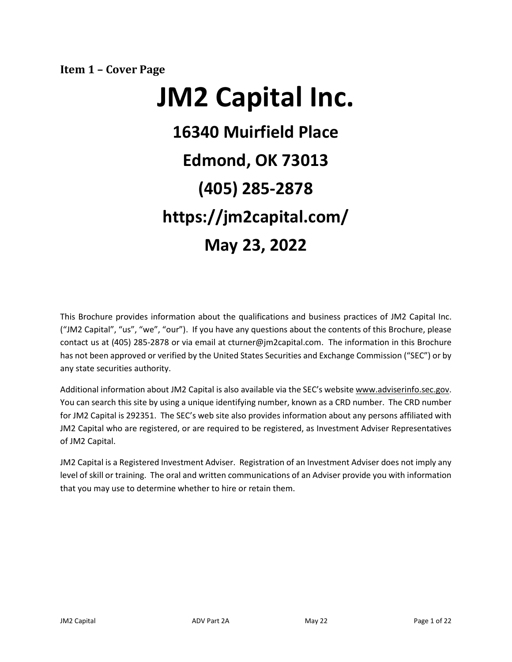<span id="page-0-0"></span>**Item 1 – Cover Page**

# **JM2 Capital Inc. 16340 Muirfield Place Edmond, OK 73013 (405) 285-2878 https://jm2capital.com/ May 23, 2022**

This Brochure provides information about the qualifications and business practices of JM2 Capital Inc. ("JM2 Capital", "us", "we", "our"). If you have any questions about the contents of this Brochure, please contact us at (405) 285-2878 or via email at cturner@jm2capital.com. The information in this Brochure has not been approved or verified by the United States Securities and Exchange Commission ("SEC") or by any state securities authority.

Additional information about JM2 Capital is also available via the SEC's website www.adviserinfo.sec.gov. You can search this site by using a unique identifying number, known as a CRD number. The CRD number for JM2 Capital is 292351. The SEC's web site also provides information about any persons affiliated with JM2 Capital who are registered, or are required to be registered, as Investment Adviser Representatives of JM2 Capital.

JM2 Capital is a Registered Investment Adviser. Registration of an Investment Adviser does not imply any level of skill or training. The oral and written communications of an Adviser provide you with information that you may use to determine whether to hire or retain them.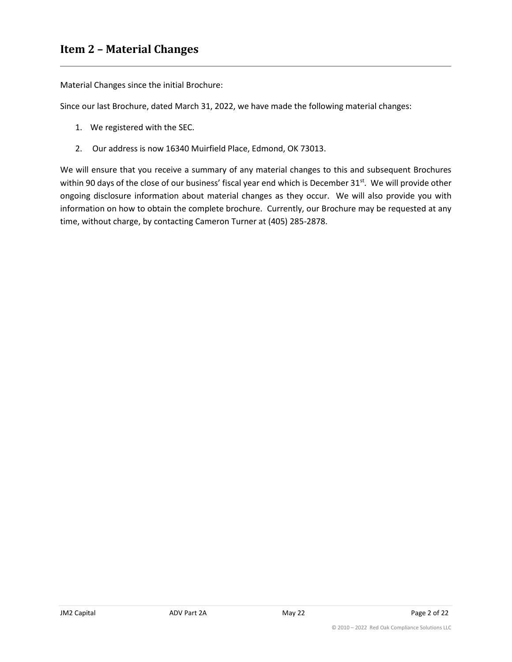# <span id="page-1-0"></span>**Item 2 – Material Changes**

Material Changes since the initial Brochure:

Since our last Brochure, dated March 31, 2022, we have made the following material changes:

- 1. We registered with the SEC.
- 2. Our address is now 16340 Muirfield Place, Edmond, OK 73013.

We will ensure that you receive a summary of any material changes to this and subsequent Brochures within 90 days of the close of our business' fiscal year end which is December 31<sup>st</sup>. We will provide other ongoing disclosure information about material changes as they occur. We will also provide you with information on how to obtain the complete brochure. Currently, our Brochure may be requested at any time, without charge, by contacting Cameron Turner at (405) 285-2878.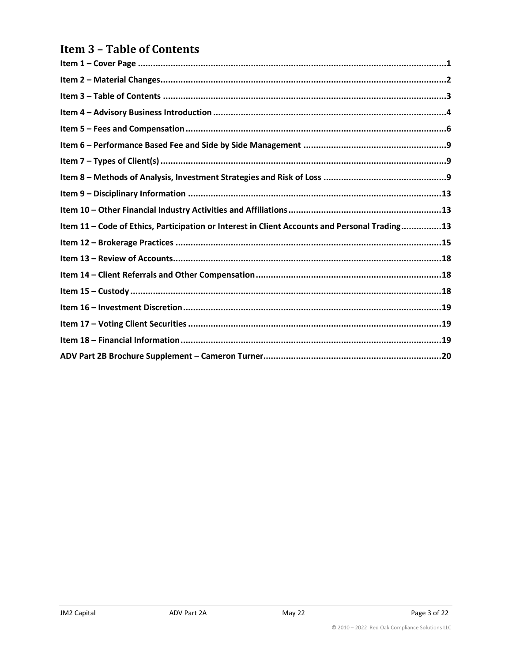# <span id="page-2-0"></span>**Item 3 - Table of Contents**

| Item 11 - Code of Ethics, Participation or Interest in Client Accounts and Personal Trading13 |
|-----------------------------------------------------------------------------------------------|
|                                                                                               |
|                                                                                               |
|                                                                                               |
|                                                                                               |
|                                                                                               |
|                                                                                               |
|                                                                                               |
|                                                                                               |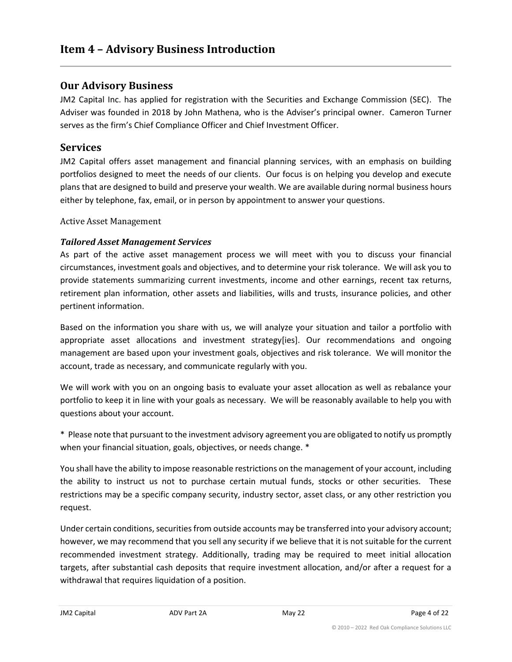## <span id="page-3-0"></span>**Our Advisory Business**

JM2 Capital Inc. has applied for registration with the Securities and Exchange Commission (SEC). The Adviser was founded in 2018 by John Mathena, who is the Adviser's principal owner. Cameron Turner serves as the firm's Chief Compliance Officer and Chief Investment Officer.

## **Services**

JM2 Capital offers asset management and financial planning services, with an emphasis on building portfolios designed to meet the needs of our clients. Our focus is on helping you develop and execute plans that are designed to build and preserve your wealth. We are available during normal business hours either by telephone, fax, email, or in person by appointment to answer your questions.

Active Asset Management

## *Tailored Asset Management Services*

As part of the active asset management process we will meet with you to discuss your financial circumstances, investment goals and objectives, and to determine your risk tolerance. We will ask you to provide statements summarizing current investments, income and other earnings, recent tax returns, retirement plan information, other assets and liabilities, wills and trusts, insurance policies, and other pertinent information.

Based on the information you share with us, we will analyze your situation and tailor a portfolio with appropriate asset allocations and investment strategy[ies]. Our recommendations and ongoing management are based upon your investment goals, objectives and risk tolerance. We will monitor the account, trade as necessary, and communicate regularly with you.

We will work with you on an ongoing basis to evaluate your asset allocation as well as rebalance your portfolio to keep it in line with your goals as necessary. We will be reasonably available to help you with questions about your account.

\* Please note that pursuant to the investment advisory agreement you are obligated to notify us promptly when your financial situation, goals, objectives, or needs change. \*

You shall have the ability to impose reasonable restrictions on the management of your account, including the ability to instruct us not to purchase certain mutual funds, stocks or other securities. These restrictions may be a specific company security, industry sector, asset class, or any other restriction you request.

Under certain conditions, securities from outside accounts may be transferred into your advisory account; however, we may recommend that you sell any security if we believe that it is not suitable for the current recommended investment strategy. Additionally, trading may be required to meet initial allocation targets, after substantial cash deposits that require investment allocation, and/or after a request for a withdrawal that requires liquidation of a position.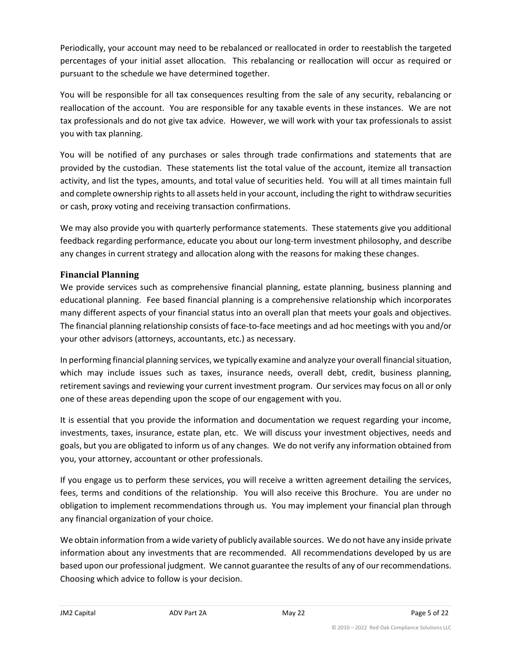Periodically, your account may need to be rebalanced or reallocated in order to reestablish the targeted percentages of your initial asset allocation. This rebalancing or reallocation will occur as required or pursuant to the schedule we have determined together.

You will be responsible for all tax consequences resulting from the sale of any security, rebalancing or reallocation of the account. You are responsible for any taxable events in these instances. We are not tax professionals and do not give tax advice. However, we will work with your tax professionals to assist you with tax planning.

You will be notified of any purchases or sales through trade confirmations and statements that are provided by the custodian. These statements list the total value of the account, itemize all transaction activity, and list the types, amounts, and total value of securities held. You will at all times maintain full and complete ownership rights to all assets held in your account, including the right to withdraw securities or cash, proxy voting and receiving transaction confirmations.

We may also provide you with quarterly performance statements. These statements give you additional feedback regarding performance, educate you about our long-term investment philosophy, and describe any changes in current strategy and allocation along with the reasons for making these changes.

#### **Financial Planning**

We provide services such as comprehensive financial planning, estate planning, business planning and educational planning. Fee based financial planning is a comprehensive relationship which incorporates many different aspects of your financial status into an overall plan that meets your goals and objectives. The financial planning relationship consists of face-to-face meetings and ad hoc meetings with you and/or your other advisors (attorneys, accountants, etc.) as necessary.

In performing financial planning services, we typically examine and analyze your overall financial situation, which may include issues such as taxes, insurance needs, overall debt, credit, business planning, retirement savings and reviewing your current investment program. Our services may focus on all or only one of these areas depending upon the scope of our engagement with you.

It is essential that you provide the information and documentation we request regarding your income, investments, taxes, insurance, estate plan, etc. We will discuss your investment objectives, needs and goals, but you are obligated to inform us of any changes. We do not verify any information obtained from you, your attorney, accountant or other professionals.

If you engage us to perform these services, you will receive a written agreement detailing the services, fees, terms and conditions of the relationship. You will also receive this Brochure. You are under no obligation to implement recommendations through us. You may implement your financial plan through any financial organization of your choice.

We obtain information from a wide variety of publicly available sources. We do not have any inside private information about any investments that are recommended. All recommendations developed by us are based upon our professional judgment. We cannot guarantee the results of any of our recommendations. Choosing which advice to follow is your decision.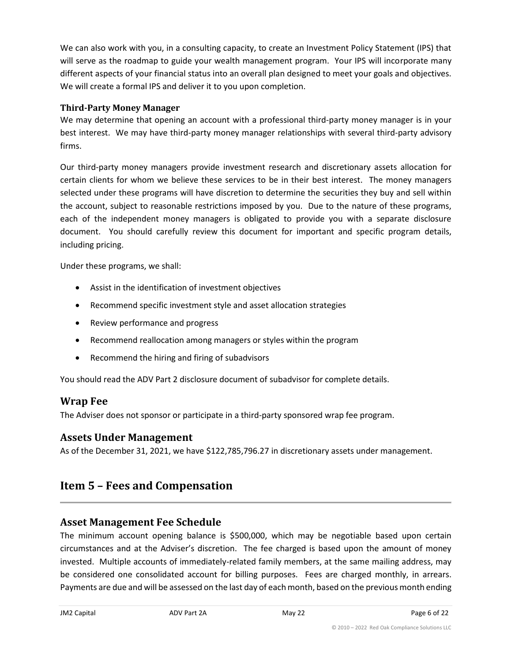We can also work with you, in a consulting capacity, to create an Investment Policy Statement (IPS) that will serve as the roadmap to guide your wealth management program. Your IPS will incorporate many different aspects of your financial status into an overall plan designed to meet your goals and objectives. We will create a formal IPS and deliver it to you upon completion.

### **Third-Party Money Manager**

We may determine that opening an account with a professional third-party money manager is in your best interest. We may have third-party money manager relationships with several third-party advisory firms.

Our third-party money managers provide investment research and discretionary assets allocation for certain clients for whom we believe these services to be in their best interest. The money managers selected under these programs will have discretion to determine the securities they buy and sell within the account, subject to reasonable restrictions imposed by you. Due to the nature of these programs, each of the independent money managers is obligated to provide you with a separate disclosure document. You should carefully review this document for important and specific program details, including pricing.

Under these programs, we shall:

- Assist in the identification of investment objectives
- Recommend specific investment style and asset allocation strategies
- Review performance and progress
- Recommend reallocation among managers or styles within the program
- Recommend the hiring and firing of subadvisors

You should read the ADV Part 2 disclosure document of subadvisor for complete details.

## **Wrap Fee**

The Adviser does not sponsor or participate in a third-party sponsored wrap fee program.

## **Assets Under Management**

As of the December 31, 2021, we have \$122,785,796.27 in discretionary assets under management.

# <span id="page-5-0"></span>**Item 5 – Fees and Compensation**

## **Asset Management Fee Schedule**

The minimum account opening balance is \$500,000, which may be negotiable based upon certain circumstances and at the Adviser's discretion. The fee charged is based upon the amount of money invested. Multiple accounts of immediately-related family members, at the same mailing address, may be considered one consolidated account for billing purposes. Fees are charged monthly, in arrears. Payments are due and will be assessed on the last day of each month, based on the previous month ending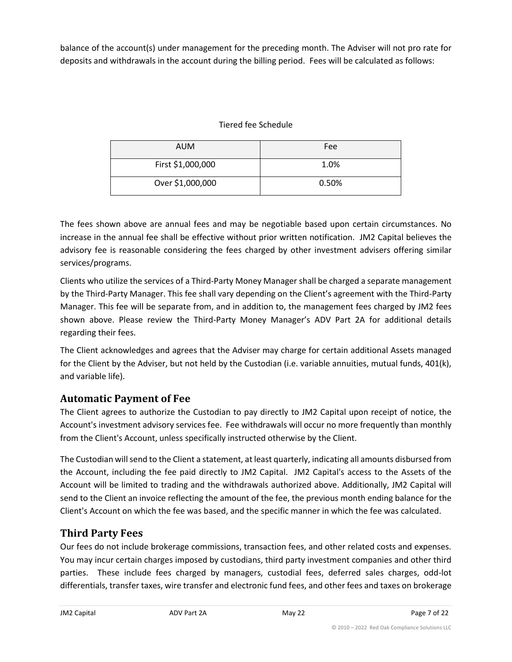balance of the account(s) under management for the preceding month. The Adviser will not pro rate for deposits and withdrawals in the account during the billing period. Fees will be calculated as follows:

## Tiered fee Schedule

| <b>AUM</b>        | Fee   |
|-------------------|-------|
| First \$1,000,000 | 1.0%  |
| Over \$1,000,000  | 0.50% |

The fees shown above are annual fees and may be negotiable based upon certain circumstances. No increase in the annual fee shall be effective without prior written notification. JM2 Capital believes the advisory fee is reasonable considering the fees charged by other investment advisers offering similar services/programs.

Clients who utilize the services of a Third-Party Money Manager shall be charged a separate management by the Third-Party Manager. This fee shall vary depending on the Client's agreement with the Third-Party Manager. This fee will be separate from, and in addition to, the management fees charged by JM2 fees shown above. Please review the Third-Party Money Manager's ADV Part 2A for additional details regarding their fees.

The Client acknowledges and agrees that the Adviser may charge for certain additional Assets managed for the Client by the Adviser, but not held by the Custodian (i.e. variable annuities, mutual funds, 401(k), and variable life).

# **Automatic Payment of Fee**

The Client agrees to authorize the Custodian to pay directly to JM2 Capital upon receipt of notice, the Account's investment advisory services fee. Fee withdrawals will occur no more frequently than monthly from the Client's Account, unless specifically instructed otherwise by the Client.

The Custodian will send to the Client a statement, at least quarterly, indicating all amounts disbursed from the Account, including the fee paid directly to JM2 Capital. JM2 Capital's access to the Assets of the Account will be limited to trading and the withdrawals authorized above. Additionally, JM2 Capital will send to the Client an invoice reflecting the amount of the fee, the previous month ending balance for the Client's Account on which the fee was based, and the specific manner in which the fee was calculated.

# **Third Party Fees**

Our fees do not include brokerage commissions, transaction fees, and other related costs and expenses. You may incur certain charges imposed by custodians, third party investment companies and other third parties. These include fees charged by managers, custodial fees, deferred sales charges, odd-lot differentials, transfer taxes, wire transfer and electronic fund fees, and other fees and taxes on brokerage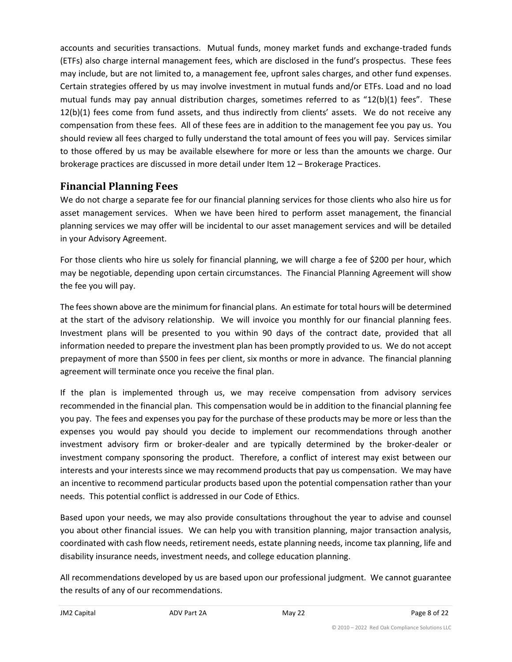accounts and securities transactions. Mutual funds, money market funds and exchange-traded funds (ETFs) also charge internal management fees, which are disclosed in the fund's prospectus. These fees may include, but are not limited to, a management fee, upfront sales charges, and other fund expenses. Certain strategies offered by us may involve investment in mutual funds and/or ETFs. Load and no load mutual funds may pay annual distribution charges, sometimes referred to as "12(b)(1) fees". These 12(b)(1) fees come from fund assets, and thus indirectly from clients' assets. We do not receive any compensation from these fees. All of these fees are in addition to the management fee you pay us. You should review all fees charged to fully understand the total amount of fees you will pay. Services similar to those offered by us may be available elsewhere for more or less than the amounts we charge. Our brokerage practices are discussed in more detail under Item 12 – Brokerage Practices.

# **Financial Planning Fees**

We do not charge a separate fee for our financial planning services for those clients who also hire us for asset management services. When we have been hired to perform asset management, the financial planning services we may offer will be incidental to our asset management services and will be detailed in your Advisory Agreement.

For those clients who hire us solely for financial planning, we will charge a fee of \$200 per hour, which may be negotiable, depending upon certain circumstances. The Financial Planning Agreement will show the fee you will pay.

The fees shown above are the minimum for financial plans. An estimate for total hours will be determined at the start of the advisory relationship. We will invoice you monthly for our financial planning fees. Investment plans will be presented to you within 90 days of the contract date, provided that all information needed to prepare the investment plan has been promptly provided to us. We do not accept prepayment of more than \$500 in fees per client, six months or more in advance. The financial planning agreement will terminate once you receive the final plan.

If the plan is implemented through us, we may receive compensation from advisory services recommended in the financial plan. This compensation would be in addition to the financial planning fee you pay. The fees and expenses you pay for the purchase of these products may be more or less than the expenses you would pay should you decide to implement our recommendations through another investment advisory firm or broker-dealer and are typically determined by the broker-dealer or investment company sponsoring the product. Therefore, a conflict of interest may exist between our interests and your interests since we may recommend products that pay us compensation. We may have an incentive to recommend particular products based upon the potential compensation rather than your needs. This potential conflict is addressed in our Code of Ethics.

Based upon your needs, we may also provide consultations throughout the year to advise and counsel you about other financial issues. We can help you with transition planning, major transaction analysis, coordinated with cash flow needs, retirement needs, estate planning needs, income tax planning, life and disability insurance needs, investment needs, and college education planning.

All recommendations developed by us are based upon our professional judgment. We cannot guarantee the results of any of our recommendations.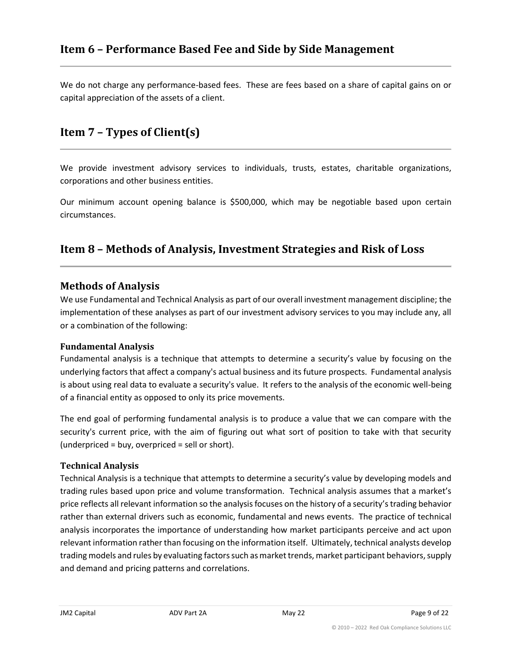<span id="page-8-0"></span>We do not charge any performance-based fees. These are fees based on a share of capital gains on or capital appreciation of the assets of a client.

# <span id="page-8-1"></span>**Item 7 – Types of Client(s)**

We provide investment advisory services to individuals, trusts, estates, charitable organizations, corporations and other business entities.

Our minimum account opening balance is \$500,000, which may be negotiable based upon certain circumstances.

# <span id="page-8-2"></span>**Item 8 – Methods of Analysis, Investment Strategies and Risk of Loss**

## **Methods of Analysis**

We use Fundamental and Technical Analysis as part of our overall investment management discipline; the implementation of these analyses as part of our investment advisory services to you may include any, all or a combination of the following:

#### **Fundamental Analysis**

Fundamental analysis is a technique that attempts to determine a security's value by focusing on the underlying factors that affect a company's actual business and its future prospects. Fundamental analysis is about using real data to evaluate a security's value. It refers to the analysis of the economic well-being of a financial entity as opposed to only its price movements.

The end goal of performing fundamental analysis is to produce a value that we can compare with the security's current price, with the aim of figuring out what sort of position to take with that security (underpriced = buy, overpriced = sell or short).

#### **Technical Analysis**

Technical Analysis is a technique that attempts to determine a security's value by developing models and trading rules based upon price and volume transformation. Technical analysis assumes that a market's price reflects all relevant information so the analysis focuses on the history of a security's trading behavior rather than external drivers such as economic, fundamental and news events. The practice of technical analysis incorporates the importance of understanding how market participants perceive and act upon relevant information rather than focusing on the information itself. Ultimately, technical analysts develop trading models and rules by evaluating factors such as market trends, market participant behaviors, supply and demand and pricing patterns and correlations.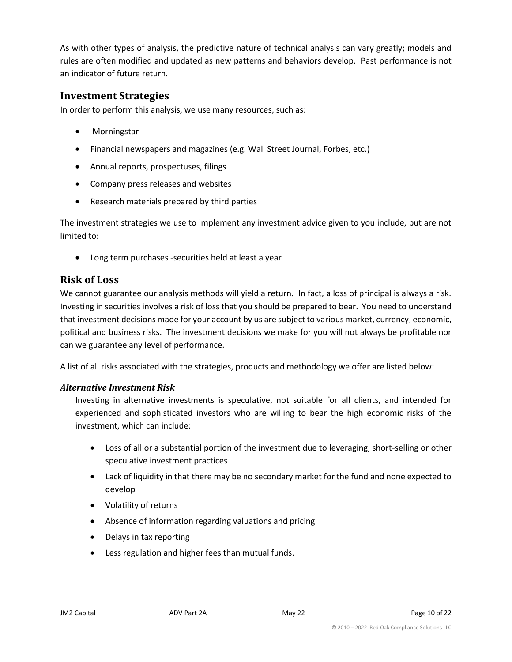As with other types of analysis, the predictive nature of technical analysis can vary greatly; models and rules are often modified and updated as new patterns and behaviors develop. Past performance is not an indicator of future return.

## **Investment Strategies**

In order to perform this analysis, we use many resources, such as:

- Morningstar
- Financial newspapers and magazines (e.g. Wall Street Journal, Forbes, etc.)
- Annual reports, prospectuses, filings
- Company press releases and websites
- Research materials prepared by third parties

The investment strategies we use to implement any investment advice given to you include, but are not limited to:

• Long term purchases -securities held at least a year

## **Risk of Loss**

We cannot guarantee our analysis methods will yield a return. In fact, a loss of principal is always a risk. Investing in securities involves a risk of loss that you should be prepared to bear. You need to understand that investment decisions made for your account by us are subject to various market, currency, economic, political and business risks. The investment decisions we make for you will not always be profitable nor can we guarantee any level of performance.

A list of all risks associated with the strategies, products and methodology we offer are listed below:

#### *Alternative Investment Risk*

Investing in alternative investments is speculative, not suitable for all clients, and intended for experienced and sophisticated investors who are willing to bear the high economic risks of the investment, which can include:

- Loss of all or a substantial portion of the investment due to leveraging, short-selling or other speculative investment practices
- Lack of liquidity in that there may be no secondary market for the fund and none expected to develop
- Volatility of returns
- Absence of information regarding valuations and pricing
- Delays in tax reporting
- Less regulation and higher fees than mutual funds.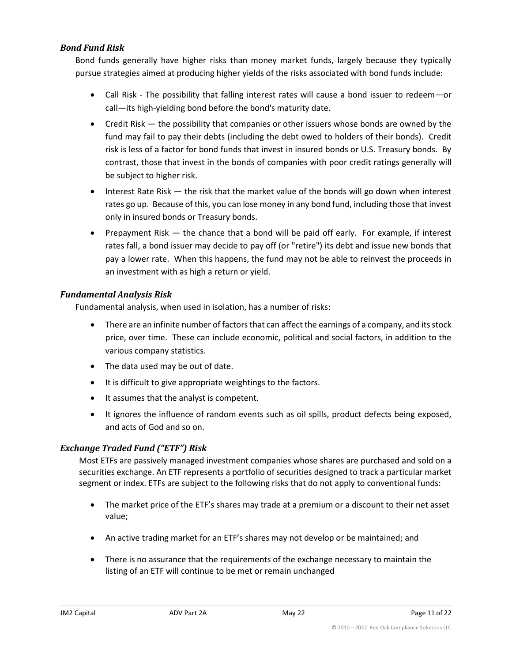#### *Bond Fund Risk*

Bond funds generally have higher risks than money market funds, largely because they typically pursue strategies aimed at producing higher yields of the risks associated with bond funds include:

- Call Risk The possibility that falling interest rates will cause a bond issuer to redeem—or call—its high-yielding bond before the bond's maturity date.
- Credit Risk the possibility that companies or other issuers whose bonds are owned by the fund may fail to pay their debts (including the debt owed to holders of their bonds). Credit risk is less of a factor for bond funds that invest in insured bonds or U.S. Treasury bonds. By contrast, those that invest in the bonds of companies with poor credit ratings generally will be subject to higher risk.
- Interest Rate Risk the risk that the market value of the bonds will go down when interest rates go up. Because of this, you can lose money in any bond fund, including those that invest only in insured bonds or Treasury bonds.
- Prepayment Risk the chance that a bond will be paid off early. For example, if interest rates fall, a bond issuer may decide to pay off (or "retire") its debt and issue new bonds that pay a lower rate. When this happens, the fund may not be able to reinvest the proceeds in an investment with as high a return or yield.

#### *Fundamental Analysis Risk*

Fundamental analysis, when used in isolation, has a number of risks:

- There are an infinite number of factors that can affect the earnings of a company, and its stock price, over time. These can include economic, political and social factors, in addition to the various company statistics.
- The data used may be out of date.
- It is difficult to give appropriate weightings to the factors.
- It assumes that the analyst is competent.
- It ignores the influence of random events such as oil spills, product defects being exposed, and acts of God and so on.

#### *Exchange Traded Fund ("ETF") Risk*

Most ETFs are passively managed investment companies whose shares are purchased and sold on a securities exchange. An ETF represents a portfolio of securities designed to track a particular market segment or index. ETFs are subject to the following risks that do not apply to conventional funds:

- The market price of the ETF's shares may trade at a premium or a discount to their net asset value;
- An active trading market for an ETF's shares may not develop or be maintained; and
- There is no assurance that the requirements of the exchange necessary to maintain the listing of an ETF will continue to be met or remain unchanged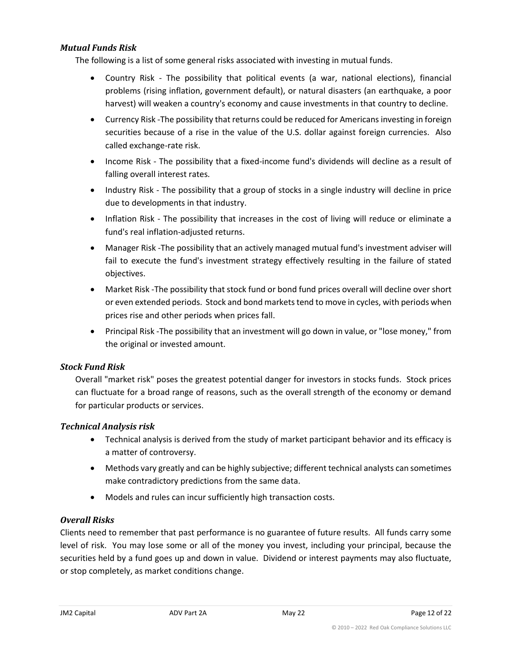#### *Mutual Funds Risk*

The following is a list of some general risks associated with investing in mutual funds.

- Country Risk The possibility that political events (a war, national elections), financial problems (rising inflation, government default), or natural disasters (an earthquake, a poor harvest) will weaken a country's economy and cause investments in that country to decline.
- Currency Risk -The possibility that returns could be reduced for Americans investing in foreign securities because of a rise in the value of the U.S. dollar against foreign currencies. Also called exchange-rate risk.
- Income Risk The possibility that a fixed-income fund's dividends will decline as a result of falling overall interest rates.
- Industry Risk The possibility that a group of stocks in a single industry will decline in price due to developments in that industry.
- Inflation Risk The possibility that increases in the cost of living will reduce or eliminate a fund's real inflation-adjusted returns.
- Manager Risk -The possibility that an actively managed mutual fund's investment adviser will fail to execute the fund's investment strategy effectively resulting in the failure of stated objectives.
- Market Risk -The possibility that stock fund or bond fund prices overall will decline over short or even extended periods. Stock and bond markets tend to move in cycles, with periods when prices rise and other periods when prices fall.
- Principal Risk -The possibility that an investment will go down in value, or "lose money," from the original or invested amount.

#### *Stock Fund Risk*

Overall "market risk" poses the greatest potential danger for investors in stocks funds. Stock prices can fluctuate for a broad range of reasons, such as the overall strength of the economy or demand for particular products or services.

#### *Technical Analysis risk*

- Technical analysis is derived from the study of market participant behavior and its efficacy is a matter of controversy.
- Methods vary greatly and can be highly subjective; different technical analysts can sometimes make contradictory predictions from the same data.
- Models and rules can incur sufficiently high transaction costs.

## *Overall Risks*

Clients need to remember that past performance is no guarantee of future results. All funds carry some level of risk. You may lose some or all of the money you invest, including your principal, because the securities held by a fund goes up and down in value. Dividend or interest payments may also fluctuate, or stop completely, as market conditions change.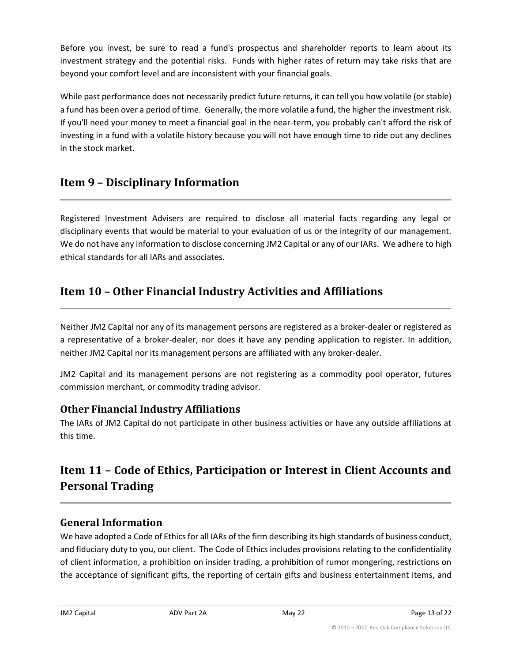Before you invest, be sure to read a fund's prospectus and shareholder reports to learn about its investment strategy and the potential risks. Funds with higher rates of return may take risks that are beyond your comfort level and are inconsistent with your financial goals.

While past performance does not necessarily predict future returns, it can tell you how volatile (or stable) a fund has been over a period of time. Generally, the more volatile a fund, the higher the investment risk. If you'll need your money to meet a financial goal in the near-term, you probably can't afford the risk of investing in a fund with a volatile history because you will not have enough time to ride out any declines in the stock market.

# <span id="page-12-0"></span>**Item 9 – Disciplinary Information**

Registered Investment Advisers are required to disclose all material facts regarding any legal or disciplinary events that would be material to your evaluation of us or the integrity of our management. We do not have any information to disclose concerning JM2 Capital or any of our IARs. We adhere to high ethical standards for all IARs and associates.

# <span id="page-12-1"></span>**Item 10 – Other Financial Industry Activities and Affiliations**

Neither JM2 Capital nor any of its management persons are registered as a broker-dealer or registered as a representative of a broker-dealer, nor does it have any pending application to register. In addition, neither JM2 Capital nor its management persons are affiliated with any broker-dealer.

JM2 Capital and its management persons are not registering as a commodity pool operator, futures commission merchant, or commodity trading advisor.

# **Other Financial Industry Affiliations**

The IARs of JM2 Capital do not participate in other business activities or have any outside affiliations at this time.

# <span id="page-12-2"></span>**Item 11 – Code of Ethics, Participation or Interest in Client Accounts and Personal Trading**

# **General Information**

We have adopted a Code of Ethics for all IARs of the firm describing its high standards of business conduct, and fiduciary duty to you, our client. The Code of Ethics includes provisions relating to the confidentiality of client information, a prohibition on insider trading, a prohibition of rumor mongering, restrictions on the acceptance of significant gifts, the reporting of certain gifts and business entertainment items, and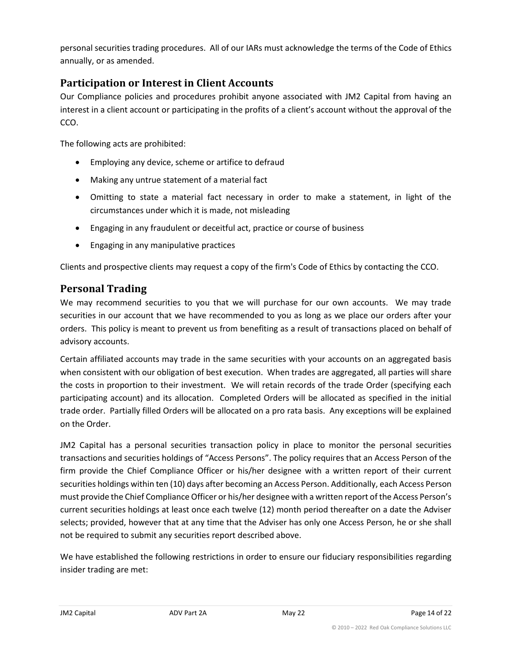personal securities trading procedures. All of our IARs must acknowledge the terms of the Code of Ethics annually, or as amended.

# **Participation or Interest in Client Accounts**

Our Compliance policies and procedures prohibit anyone associated with JM2 Capital from having an interest in a client account or participating in the profits of a client's account without the approval of the CCO.

The following acts are prohibited:

- Employing any device, scheme or artifice to defraud
- Making any untrue statement of a material fact
- Omitting to state a material fact necessary in order to make a statement, in light of the circumstances under which it is made, not misleading
- Engaging in any fraudulent or deceitful act, practice or course of business
- Engaging in any manipulative practices

Clients and prospective clients may request a copy of the firm's Code of Ethics by contacting the CCO.

# **Personal Trading**

We may recommend securities to you that we will purchase for our own accounts. We may trade securities in our account that we have recommended to you as long as we place our orders after your orders. This policy is meant to prevent us from benefiting as a result of transactions placed on behalf of advisory accounts.

Certain affiliated accounts may trade in the same securities with your accounts on an aggregated basis when consistent with our obligation of best execution. When trades are aggregated, all parties will share the costs in proportion to their investment. We will retain records of the trade Order (specifying each participating account) and its allocation. Completed Orders will be allocated as specified in the initial trade order. Partially filled Orders will be allocated on a pro rata basis. Any exceptions will be explained on the Order.

JM2 Capital has a personal securities transaction policy in place to monitor the personal securities transactions and securities holdings of "Access Persons". The policy requires that an Access Person of the firm provide the Chief Compliance Officer or his/her designee with a written report of their current securities holdings within ten (10) days after becoming an Access Person. Additionally, each Access Person must provide the Chief Compliance Officer or his/her designee with a written report of the Access Person's current securities holdings at least once each twelve (12) month period thereafter on a date the Adviser selects; provided, however that at any time that the Adviser has only one Access Person, he or she shall not be required to submit any securities report described above.

We have established the following restrictions in order to ensure our fiduciary responsibilities regarding insider trading are met: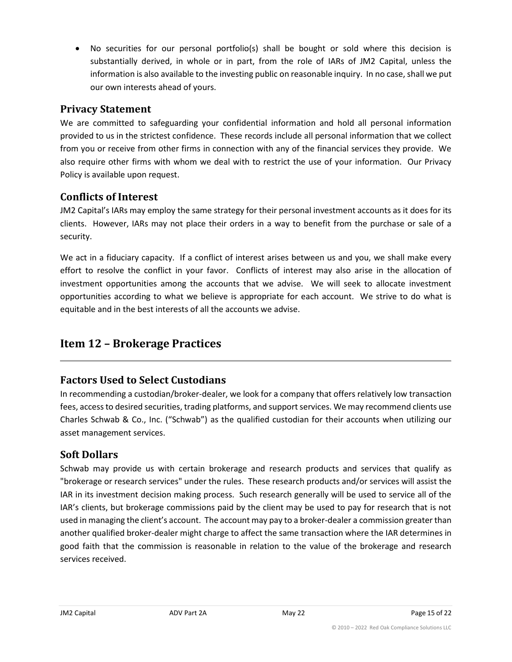• No securities for our personal portfolio(s) shall be bought or sold where this decision is substantially derived, in whole or in part, from the role of IARs of JM2 Capital, unless the information is also available to the investing public on reasonable inquiry. In no case, shall we put our own interests ahead of yours.

## **Privacy Statement**

We are committed to safeguarding your confidential information and hold all personal information provided to us in the strictest confidence. These records include all personal information that we collect from you or receive from other firms in connection with any of the financial services they provide. We also require other firms with whom we deal with to restrict the use of your information. Our Privacy Policy is available upon request.

# **Conflicts of Interest**

JM2 Capital's IARs may employ the same strategy for their personal investment accounts as it does for its clients. However, IARs may not place their orders in a way to benefit from the purchase or sale of a security.

We act in a fiduciary capacity. If a conflict of interest arises between us and you, we shall make every effort to resolve the conflict in your favor. Conflicts of interest may also arise in the allocation of investment opportunities among the accounts that we advise. We will seek to allocate investment opportunities according to what we believe is appropriate for each account. We strive to do what is equitable and in the best interests of all the accounts we advise.

# <span id="page-14-0"></span>**Item 12 – Brokerage Practices**

# **Factors Used to Select Custodians**

In recommending a custodian/broker-dealer, we look for a company that offers relatively low transaction fees, access to desired securities, trading platforms, and support services. We may recommend clients use Charles Schwab & Co., Inc. ("Schwab") as the qualified custodian for their accounts when utilizing our asset management services.

# **Soft Dollars**

Schwab may provide us with certain brokerage and research products and services that qualify as "brokerage or research services" under the rules. These research products and/or services will assist the IAR in its investment decision making process. Such research generally will be used to service all of the IAR's clients, but brokerage commissions paid by the client may be used to pay for research that is not used in managing the client's account. The account may pay to a broker-dealer a commission greater than another qualified broker-dealer might charge to affect the same transaction where the IAR determines in good faith that the commission is reasonable in relation to the value of the brokerage and research services received.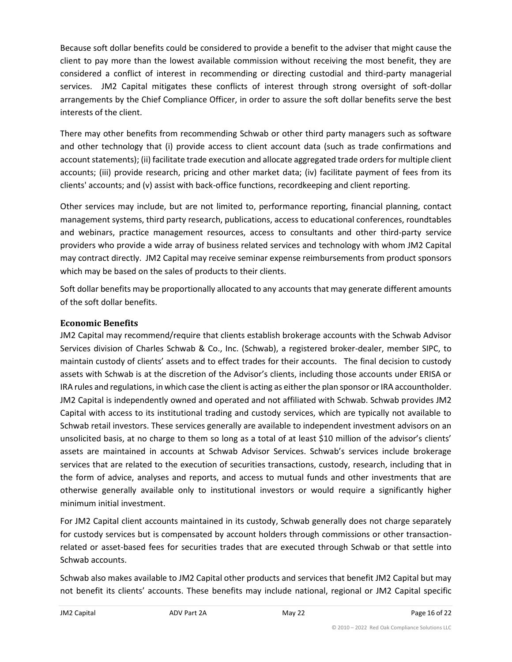Because soft dollar benefits could be considered to provide a benefit to the adviser that might cause the client to pay more than the lowest available commission without receiving the most benefit, they are considered a conflict of interest in recommending or directing custodial and third-party managerial services. JM2 Capital mitigates these conflicts of interest through strong oversight of soft-dollar arrangements by the Chief Compliance Officer, in order to assure the soft dollar benefits serve the best interests of the client.

There may other benefits from recommending Schwab or other third party managers such as software and other technology that (i) provide access to client account data (such as trade confirmations and account statements); (ii) facilitate trade execution and allocate aggregated trade orders for multiple client accounts; (iii) provide research, pricing and other market data; (iv) facilitate payment of fees from its clients' accounts; and (v) assist with back-office functions, recordkeeping and client reporting.

Other services may include, but are not limited to, performance reporting, financial planning, contact management systems, third party research, publications, access to educational conferences, roundtables and webinars, practice management resources, access to consultants and other third-party service providers who provide a wide array of business related services and technology with whom JM2 Capital may contract directly. JM2 Capital may receive seminar expense reimbursements from product sponsors which may be based on the sales of products to their clients.

Soft dollar benefits may be proportionally allocated to any accounts that may generate different amounts of the soft dollar benefits.

## **Economic Benefits**

JM2 Capital may recommend/require that clients establish brokerage accounts with the Schwab Advisor Services division of Charles Schwab & Co., Inc. (Schwab), a registered broker-dealer, member SIPC, to maintain custody of clients' assets and to effect trades for their accounts. The final decision to custody assets with Schwab is at the discretion of the Advisor's clients, including those accounts under ERISA or IRA rules and regulations, in which case the client is acting as either the plan sponsor or IRA accountholder. JM2 Capital is independently owned and operated and not affiliated with Schwab. Schwab provides JM2 Capital with access to its institutional trading and custody services, which are typically not available to Schwab retail investors. These services generally are available to independent investment advisors on an unsolicited basis, at no charge to them so long as a total of at least \$10 million of the advisor's clients' assets are maintained in accounts at Schwab Advisor Services. Schwab's services include brokerage services that are related to the execution of securities transactions, custody, research, including that in the form of advice, analyses and reports, and access to mutual funds and other investments that are otherwise generally available only to institutional investors or would require a significantly higher minimum initial investment.

For JM2 Capital client accounts maintained in its custody, Schwab generally does not charge separately for custody services but is compensated by account holders through commissions or other transactionrelated or asset-based fees for securities trades that are executed through Schwab or that settle into Schwab accounts.

Schwab also makes available to JM2 Capital other products and services that benefit JM2 Capital but may not benefit its clients' accounts. These benefits may include national, regional or JM2 Capital specific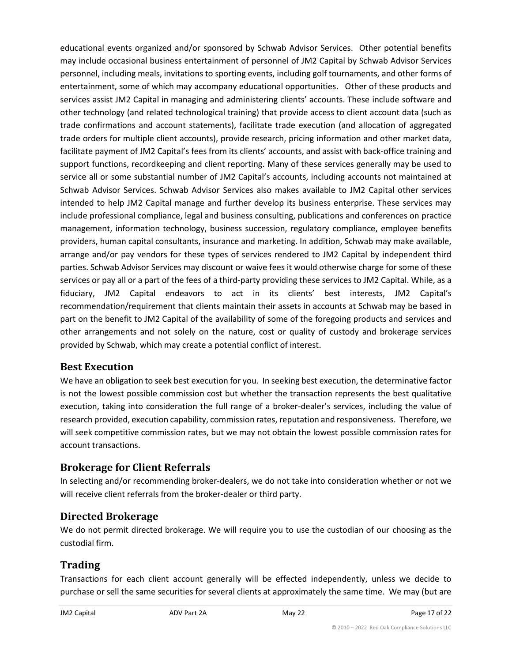educational events organized and/or sponsored by Schwab Advisor Services. Other potential benefits may include occasional business entertainment of personnel of JM2 Capital by Schwab Advisor Services personnel, including meals, invitations to sporting events, including golf tournaments, and other forms of entertainment, some of which may accompany educational opportunities. Other of these products and services assist JM2 Capital in managing and administering clients' accounts. These include software and other technology (and related technological training) that provide access to client account data (such as trade confirmations and account statements), facilitate trade execution (and allocation of aggregated trade orders for multiple client accounts), provide research, pricing information and other market data, facilitate payment of JM2 Capital's fees from its clients' accounts, and assist with back-office training and support functions, recordkeeping and client reporting. Many of these services generally may be used to service all or some substantial number of JM2 Capital's accounts, including accounts not maintained at Schwab Advisor Services. Schwab Advisor Services also makes available to JM2 Capital other services intended to help JM2 Capital manage and further develop its business enterprise. These services may include professional compliance, legal and business consulting, publications and conferences on practice management, information technology, business succession, regulatory compliance, employee benefits providers, human capital consultants, insurance and marketing. In addition, Schwab may make available, arrange and/or pay vendors for these types of services rendered to JM2 Capital by independent third parties. Schwab Advisor Services may discount or waive fees it would otherwise charge for some of these services or pay all or a part of the fees of a third-party providing these services to JM2 Capital. While, as a fiduciary, JM2 Capital endeavors to act in its clients' best interests, JM2 Capital's recommendation/requirement that clients maintain their assets in accounts at Schwab may be based in part on the benefit to JM2 Capital of the availability of some of the foregoing products and services and other arrangements and not solely on the nature, cost or quality of custody and brokerage services provided by Schwab, which may create a potential conflict of interest.

## **Best Execution**

We have an obligation to seek best execution for you. In seeking best execution, the determinative factor is not the lowest possible commission cost but whether the transaction represents the best qualitative execution, taking into consideration the full range of a broker-dealer's services, including the value of research provided, execution capability, commission rates, reputation and responsiveness. Therefore, we will seek competitive commission rates, but we may not obtain the lowest possible commission rates for account transactions.

# **Brokerage for Client Referrals**

In selecting and/or recommending broker-dealers, we do not take into consideration whether or not we will receive client referrals from the broker-dealer or third party.

# **Directed Brokerage**

We do not permit directed brokerage. We will require you to use the custodian of our choosing as the custodial firm.

# **Trading**

Transactions for each client account generally will be effected independently, unless we decide to purchase or sell the same securities for several clients at approximately the same time. We may (but are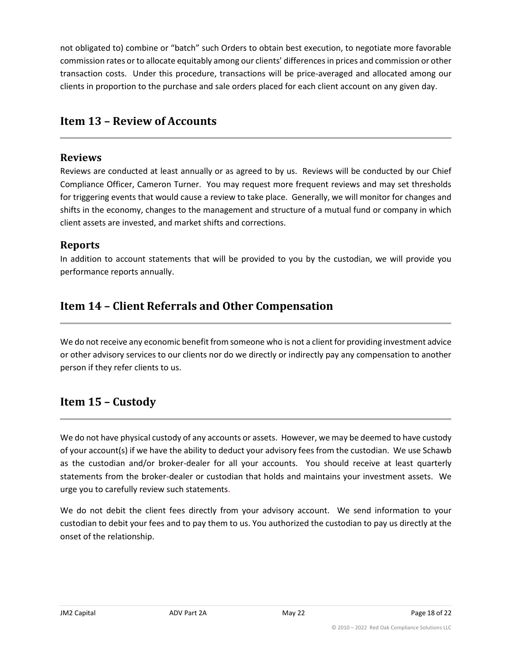not obligated to) combine or "batch" such Orders to obtain best execution, to negotiate more favorable commission rates or to allocate equitably among our clients' differences in prices and commission or other transaction costs. Under this procedure, transactions will be price-averaged and allocated among our clients in proportion to the purchase and sale orders placed for each client account on any given day.

# <span id="page-17-0"></span>**Item 13 – Review of Accounts**

## **Reviews**

Reviews are conducted at least annually or as agreed to by us. Reviews will be conducted by our Chief Compliance Officer, Cameron Turner. You may request more frequent reviews and may set thresholds for triggering events that would cause a review to take place. Generally, we will monitor for changes and shifts in the economy, changes to the management and structure of a mutual fund or company in which client assets are invested, and market shifts and corrections.

## **Reports**

In addition to account statements that will be provided to you by the custodian, we will provide you performance reports annually.

# <span id="page-17-1"></span>**Item 14 – Client Referrals and Other Compensation**

We do not receive any economic benefit from someone who is not a client for providing investment advice or other advisory services to our clients nor do we directly or indirectly pay any compensation to another person if they refer clients to us.

# <span id="page-17-2"></span>**Item 15 – Custody**

We do not have physical custody of any accounts or assets. However, we may be deemed to have custody of your account(s) if we have the ability to deduct your advisory fees from the custodian. We use Schawb as the custodian and/or broker-dealer for all your accounts. You should receive at least quarterly statements from the broker-dealer or custodian that holds and maintains your investment assets. We urge you to carefully review such statements.

We do not debit the client fees directly from your advisory account. We send information to your custodian to debit your fees and to pay them to us. You authorized the custodian to pay us directly at the onset of the relationship.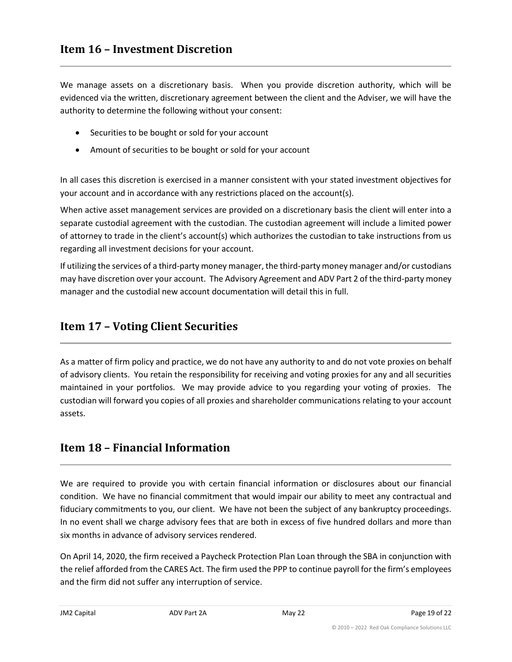<span id="page-18-0"></span>We manage assets on a discretionary basis. When you provide discretion authority, which will be evidenced via the written, discretionary agreement between the client and the Adviser, we will have the authority to determine the following without your consent:

- Securities to be bought or sold for your account
- Amount of securities to be bought or sold for your account

In all cases this discretion is exercised in a manner consistent with your stated investment objectives for your account and in accordance with any restrictions placed on the account(s).

When active asset management services are provided on a discretionary basis the client will enter into a separate custodial agreement with the custodian. The custodian agreement will include a limited power of attorney to trade in the client's account(s) which authorizes the custodian to take instructions from us regarding all investment decisions for your account.

If utilizing the services of a third-party money manager, the third-party money manager and/or custodians may have discretion over your account. The Advisory Agreement and ADV Part 2 of the third-party money manager and the custodial new account documentation will detail this in full.

# <span id="page-18-1"></span>**Item 17 – Voting Client Securities**

As a matter of firm policy and practice, we do not have any authority to and do not vote proxies on behalf of advisory clients. You retain the responsibility for receiving and voting proxies for any and all securities maintained in your portfolios. We may provide advice to you regarding your voting of proxies. The custodian will forward you copies of all proxies and shareholder communications relating to your account assets.

# <span id="page-18-2"></span>**Item 18 – Financial Information**

We are required to provide you with certain financial information or disclosures about our financial condition. We have no financial commitment that would impair our ability to meet any contractual and fiduciary commitments to you, our client. We have not been the subject of any bankruptcy proceedings. In no event shall we charge advisory fees that are both in excess of five hundred dollars and more than six months in advance of advisory services rendered.

On April 14, 2020, the firm received a Paycheck Protection Plan Loan through the SBA in conjunction with the relief afforded from the CARES Act. The firm used the PPP to continue payroll for the firm's employees and the firm did not suffer any interruption of service.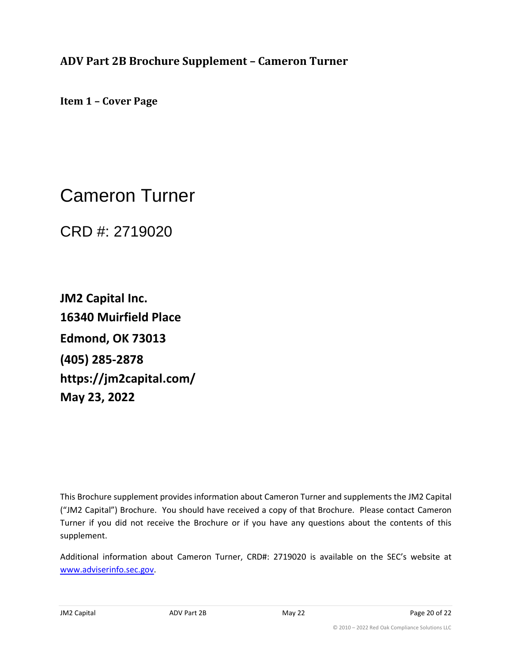<span id="page-19-0"></span>**ADV Part 2B Brochure Supplement – Cameron Turner**

**Item 1 – Cover Page**

Cameron Turner

CRD #: 2719020

**JM2 Capital Inc. 16340 Muirfield Place Edmond, OK 73013 (405) 285-2878 https://jm2capital.com/ May 23, 2022**

This Brochure supplement provides information about Cameron Turner and supplements the JM2 Capital ("JM2 Capital") Brochure. You should have received a copy of that Brochure. Please contact Cameron Turner if you did not receive the Brochure or if you have any questions about the contents of this supplement.

Additional information about Cameron Turner, CRD#: 2719020 is available on the SEC's website at www.adviserinfo.sec.gov.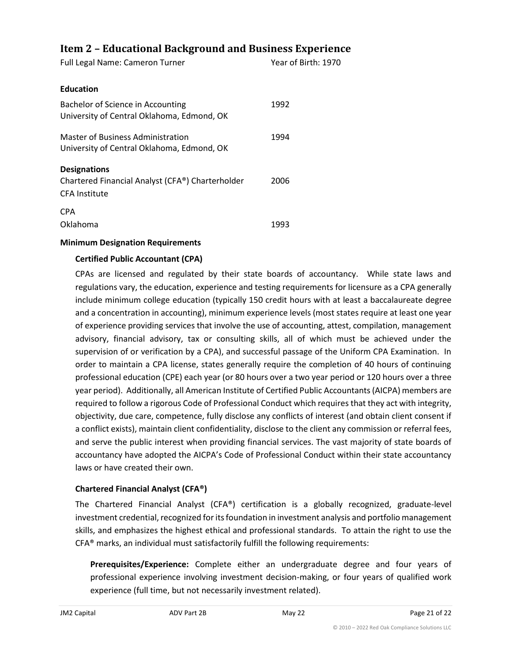## **Item 2 – Educational Background and Business Experience**

| Full Legal Name: Cameron Turner                                                                 | Year of Birth: 1970 |
|-------------------------------------------------------------------------------------------------|---------------------|
| <b>Education</b>                                                                                |                     |
| Bachelor of Science in Accounting<br>University of Central Oklahoma, Edmond, OK                 | 1992                |
| Master of Business Administration<br>University of Central Oklahoma, Edmond, OK                 | 1994                |
| <b>Designations</b><br>Chartered Financial Analyst (CFA®) Charterholder<br><b>CFA Institute</b> | 2006                |
| <b>CPA</b><br>Oklahoma                                                                          | 1993                |

#### **Minimum Designation Requirements**

#### **Certified Public Accountant (CPA)**

CPAs are licensed and regulated by their state boards of accountancy. While state laws and regulations vary, the education, experience and testing requirements for licensure as a CPA generally include minimum college education (typically 150 credit hours with at least a baccalaureate degree and a concentration in accounting), minimum experience levels (most states require at least one year of experience providing services that involve the use of accounting, attest, compilation, management advisory, financial advisory, tax or consulting skills, all of which must be achieved under the supervision of or verification by a CPA), and successful passage of the Uniform CPA Examination. In order to maintain a CPA license, states generally require the completion of 40 hours of continuing professional education (CPE) each year (or 80 hours over a two year period or 120 hours over a three year period). Additionally, all American Institute of Certified Public Accountants (AICPA) members are required to follow a rigorous Code of Professional Conduct which requires that they act with integrity, objectivity, due care, competence, fully disclose any conflicts of interest (and obtain client consent if a conflict exists), maintain client confidentiality, disclose to the client any commission or referral fees, and serve the public interest when providing financial services. The vast majority of state boards of accountancy have adopted the AICPA's Code of Professional Conduct within their state accountancy laws or have created their own.

#### **Chartered Financial Analyst (CFA®)**

The Chartered Financial Analyst (CFA®) certification is a globally recognized, graduate-level investment credential, recognized for its foundation in investment analysis and portfolio management skills, and emphasizes the highest ethical and professional standards. To attain the right to use the CFA® marks, an individual must satisfactorily fulfill the following requirements:

**Prerequisites/Experience:** Complete either an undergraduate degree and four years of professional experience involving investment decision-making, or four years of qualified work experience (full time, but not necessarily investment related).